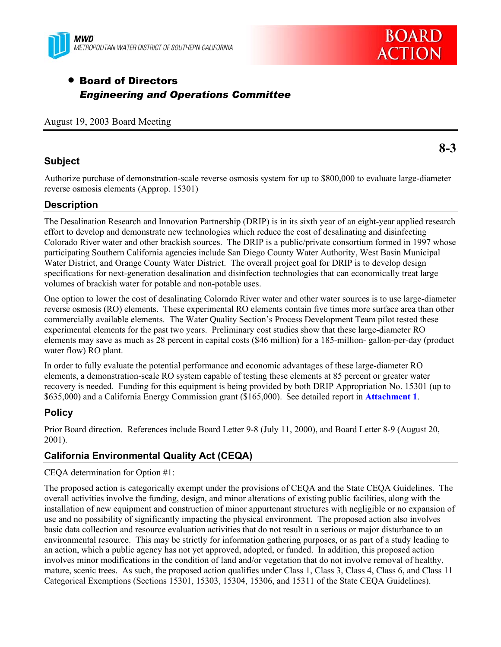



# • Board of Directors *Engineering and Operations Committee*

August 19, 2003 Board Meeting

## **Subject**

Authorize purchase of demonstration-scale reverse osmosis system for up to \$800,000 to evaluate large-diameter reverse osmosis elements (Approp. 15301)

# **Description**

The Desalination Research and Innovation Partnership (DRIP) is in its sixth year of an eight-year applied research effort to develop and demonstrate new technologies which reduce the cost of desalinating and disinfecting Colorado River water and other brackish sources. The DRIP is a public/private consortium formed in 1997 whose participating Southern California agencies include San Diego County Water Authority, West Basin Municipal Water District, and Orange County Water District. The overall project goal for DRIP is to develop design specifications for next-generation desalination and disinfection technologies that can economically treat large volumes of brackish water for potable and non-potable uses.

One option to lower the cost of desalinating Colorado River water and other water sources is to use large-diameter reverse osmosis (RO) elements. These experimental RO elements contain five times more surface area than other commercially available elements. The Water Quality Section's Process Development Team pilot tested these experimental elements for the past two years. Preliminary cost studies show that these large-diameter RO elements may save as much as 28 percent in capital costs (\$46 million) for a 185-million- gallon-per-day (product water flow) RO plant.

In order to fully evaluate the potential performance and economic advantages of these large-diameter RO elements, a demonstration-scale RO system capable of testing these elements at 85 percent or greater water recovery is needed. Funding for this equipment is being provided by both DRIP Appropriation No. 15301 (up to \$635,000) and a California Energy Commission grant (\$165,000). See detailed report in **Attachment 1**.

## **Policy**

Prior Board direction. References include Board Letter 9-8 (July 11, 2000), and Board Letter 8-9 (August 20, 2001).

# **California Environmental Quality Act (CEQA)**

CEQA determination for Option #1:

The proposed action is categorically exempt under the provisions of CEQA and the State CEQA Guidelines. The overall activities involve the funding, design, and minor alterations of existing public facilities, along with the installation of new equipment and construction of minor appurtenant structures with negligible or no expansion of use and no possibility of significantly impacting the physical environment. The proposed action also involves basic data collection and resource evaluation activities that do not result in a serious or major disturbance to an environmental resource. This may be strictly for information gathering purposes, or as part of a study leading to an action, which a public agency has not yet approved, adopted, or funded. In addition, this proposed action involves minor modifications in the condition of land and/or vegetation that do not involve removal of healthy, mature, scenic trees. As such, the proposed action qualifies under Class 1, Class 3, Class 4, Class 6, and Class 11 Categorical Exemptions (Sections 15301, 15303, 15304, 15306, and 15311 of the State CEQA Guidelines).

**8-3**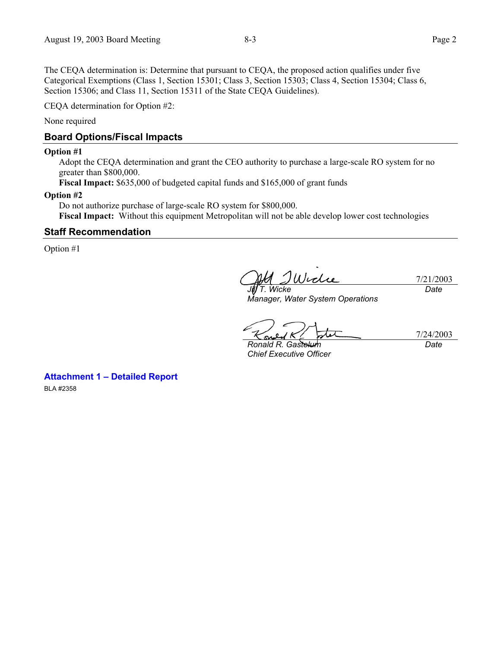The CEQA determination is: Determine that pursuant to CEQA, the proposed action qualifies under five Categorical Exemptions (Class 1, Section 15301; Class 3, Section 15303; Class 4, Section 15304; Class 6, Section 15306; and Class 11, Section 15311 of the State CEQA Guidelines).

CEQA determination for Option #2:

None required

# **Board Options/Fiscal Impacts**

#### **Option #1**

Adopt the CEQA determination and grant the CEO authority to purchase a large-scale RO system for no greater than \$800,000.

**Fiscal Impact:** \$635,000 of budgeted capital funds and \$165,000 of grant funds

#### **Option #2**

Do not authorize purchase of large-scale RO system for \$800,000. **Fiscal Impact:** Without this equipment Metropolitan will not be able develop lower cost technologies

## **Staff Recommendation**

Option #1

7/21/2003 *Jill T. Wicke Date* 

*Manager, Water System Operations* 

7/24/2003 *Date* 

*Ronald R. Gastelum Chief Executive Officer* 

**Attachment 1 – Detailed Report** 

BLA #2358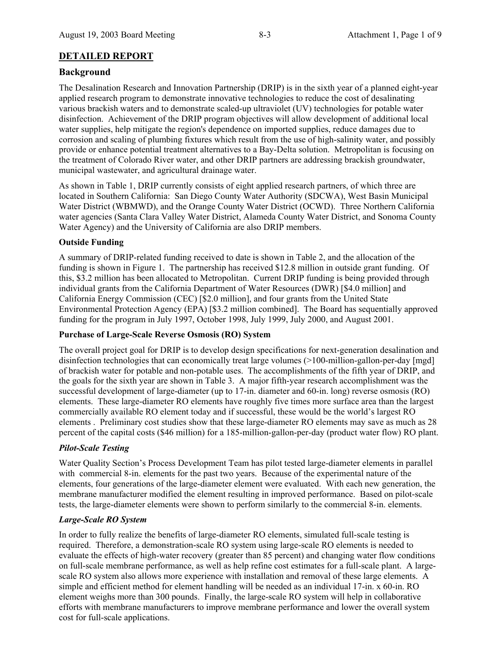# **DETAILED REPORT**

# **Background**

The Desalination Research and Innovation Partnership (DRIP) is in the sixth year of a planned eight-year applied research program to demonstrate innovative technologies to reduce the cost of desalinating various brackish waters and to demonstrate scaled-up ultraviolet (UV) technologies for potable water disinfection. Achievement of the DRIP program objectives will allow development of additional local water supplies, help mitigate the region's dependence on imported supplies, reduce damages due to corrosion and scaling of plumbing fixtures which result from the use of high-salinity water, and possibly provide or enhance potential treatment alternatives to a Bay-Delta solution. Metropolitan is focusing on the treatment of Colorado River water, and other DRIP partners are addressing brackish groundwater, municipal wastewater, and agricultural drainage water.

As shown in Table 1, DRIP currently consists of eight applied research partners, of which three are located in Southern California: San Diego County Water Authority (SDCWA), West Basin Municipal Water District (WBMWD), and the Orange County Water District (OCWD). Three Northern California water agencies (Santa Clara Valley Water District, Alameda County Water District, and Sonoma County Water Agency) and the University of California are also DRIP members.

## **Outside Funding**

A summary of DRIP-related funding received to date is shown in Table 2, and the allocation of the funding is shown in Figure 1. The partnership has received \$12.8 million in outside grant funding. Of this, \$3.2 million has been allocated to Metropolitan. Current DRIP funding is being provided through individual grants from the California Department of Water Resources (DWR) [\$4.0 million] and California Energy Commission (CEC) [\$2.0 million], and four grants from the United State Environmental Protection Agency (EPA) [\$3.2 million combined]. The Board has sequentially approved funding for the program in July 1997, October 1998, July 1999, July 2000, and August 2001.

#### **Purchase of Large-Scale Reverse Osmosis (RO) System**

The overall project goal for DRIP is to develop design specifications for next-generation desalination and disinfection technologies that can economically treat large volumes (>100-million-gallon-per-day [mgd] of brackish water for potable and non-potable uses. The accomplishments of the fifth year of DRIP, and the goals for the sixth year are shown in Table 3. A major fifth-year research accomplishment was the successful development of large-diameter (up to 17-in. diameter and 60-in. long) reverse osmosis (RO) elements. These large-diameter RO elements have roughly five times more surface area than the largest commercially available RO element today and if successful, these would be the world's largest RO elements . Preliminary cost studies show that these large-diameter RO elements may save as much as 28 percent of the capital costs (\$46 million) for a 185-million-gallon-per-day (product water flow) RO plant.

## *Pilot-Scale Testing*

Water Quality Section's Process Development Team has pilot tested large-diameter elements in parallel with commercial 8-in. elements for the past two years. Because of the experimental nature of the elements, four generations of the large-diameter element were evaluated. With each new generation, the membrane manufacturer modified the element resulting in improved performance. Based on pilot-scale tests, the large-diameter elements were shown to perform similarly to the commercial 8-in. elements.

## *Large-Scale RO System*

In order to fully realize the benefits of large-diameter RO elements, simulated full-scale testing is required. Therefore, a demonstration-scale RO system using large-scale RO elements is needed to evaluate the effects of high-water recovery (greater than 85 percent) and changing water flow conditions on full-scale membrane performance, as well as help refine cost estimates for a full-scale plant. A largescale RO system also allows more experience with installation and removal of these large elements. A simple and efficient method for element handling will be needed as an individual 17-in. x 60-in. RO element weighs more than 300 pounds. Finally, the large-scale RO system will help in collaborative efforts with membrane manufacturers to improve membrane performance and lower the overall system cost for full-scale applications.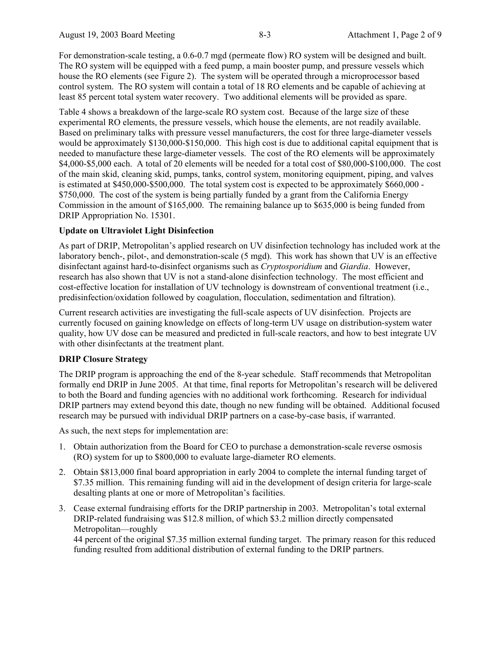For demonstration-scale testing, a 0.6-0.7 mgd (permeate flow) RO system will be designed and built. The RO system will be equipped with a feed pump, a main booster pump, and pressure vessels which house the RO elements (see Figure 2). The system will be operated through a microprocessor based control system. The RO system will contain a total of 18 RO elements and be capable of achieving at least 85 percent total system water recovery. Two additional elements will be provided as spare.

Table 4 shows a breakdown of the large-scale RO system cost. Because of the large size of these experimental RO elements, the pressure vessels, which house the elements, are not readily available. Based on preliminary talks with pressure vessel manufacturers, the cost for three large-diameter vessels would be approximately \$130,000-\$150,000. This high cost is due to additional capital equipment that is needed to manufacture these large-diameter vessels. The cost of the RO elements will be approximately \$4,000-\$5,000 each. A total of 20 elements will be needed for a total cost of \$80,000-\$100,000. The cost of the main skid, cleaning skid, pumps, tanks, control system, monitoring equipment, piping, and valves is estimated at \$450,000-\$500,000. The total system cost is expected to be approximately \$660,000 - \$750,000. The cost of the system is being partially funded by a grant from the California Energy Commission in the amount of \$165,000. The remaining balance up to \$635,000 is being funded from DRIP Appropriation No. 15301.

## **Update on Ultraviolet Light Disinfection**

As part of DRIP, Metropolitan's applied research on UV disinfection technology has included work at the laboratory bench-, pilot-, and demonstration-scale (5 mgd). This work has shown that UV is an effective disinfectant against hard-to-disinfect organisms such as *Cryptosporidium* and *Giardia*. However, research has also shown that UV is not a stand-alone disinfection technology. The most efficient and cost-effective location for installation of UV technology is downstream of conventional treatment (i.e., predisinfection/oxidation followed by coagulation, flocculation, sedimentation and filtration).

Current research activities are investigating the full-scale aspects of UV disinfection. Projects are currently focused on gaining knowledge on effects of long-term UV usage on distribution-system water quality, how UV dose can be measured and predicted in full-scale reactors, and how to best integrate UV with other disinfectants at the treatment plant.

#### **DRIP Closure Strategy**

The DRIP program is approaching the end of the 8-year schedule. Staff recommends that Metropolitan formally end DRIP in June 2005. At that time, final reports for Metropolitan's research will be delivered to both the Board and funding agencies with no additional work forthcoming. Research for individual DRIP partners may extend beyond this date, though no new funding will be obtained. Additional focused research may be pursued with individual DRIP partners on a case-by-case basis, if warranted.

As such, the next steps for implementation are:

- 1. Obtain authorization from the Board for CEO to purchase a demonstration-scale reverse osmosis (RO) system for up to \$800,000 to evaluate large-diameter RO elements.
- 2. Obtain \$813,000 final board appropriation in early 2004 to complete the internal funding target of \$7.35 million. This remaining funding will aid in the development of design criteria for large-scale desalting plants at one or more of Metropolitan's facilities.
- 3. Cease external fundraising efforts for the DRIP partnership in 2003. Metropolitan's total external DRIP-related fundraising was \$12.8 million, of which \$3.2 million directly compensated Metropolitan—roughly

44 percent of the original \$7.35 million external funding target. The primary reason for this reduced funding resulted from additional distribution of external funding to the DRIP partners.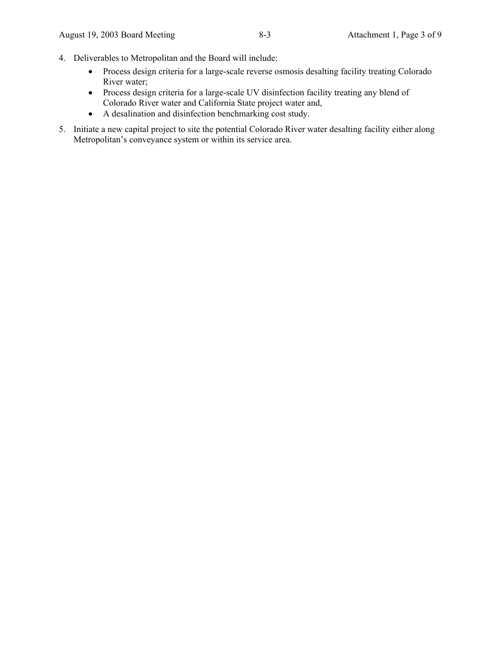- 4. Deliverables to Metropolitan and the Board will include:
	- Process design criteria for a large-scale reverse osmosis desalting facility treating Colorado River water;
	- Process design criteria for a large-scale UV disinfection facility treating any blend of Colorado River water and California State project water and,
	- A desalination and disinfection benchmarking cost study.
- 5. Initiate a new capital project to site the potential Colorado River water desalting facility either along Metropolitan's conveyance system or within its service area.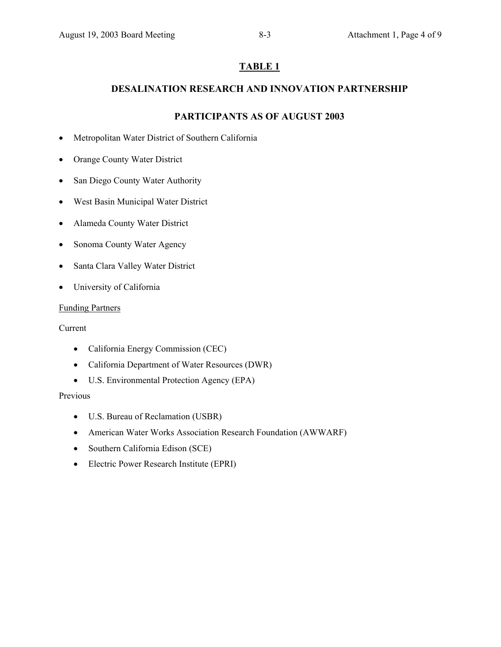# **DESALINATION RESEARCH AND INNOVATION PARTNERSHIP**

# **PARTICIPANTS AS OF AUGUST 2003**

- Metropolitan Water District of Southern California
- Orange County Water District
- San Diego County Water Authority
- West Basin Municipal Water District
- Alameda County Water District
- Sonoma County Water Agency
- Santa Clara Valley Water District
- University of California

## Funding Partners

Current

- California Energy Commission (CEC)
- California Department of Water Resources (DWR)
- U.S. Environmental Protection Agency (EPA)

Previous

- U.S. Bureau of Reclamation (USBR)
- American Water Works Association Research Foundation (AWWARF)
- Southern California Edison (SCE)
- Electric Power Research Institute (EPRI)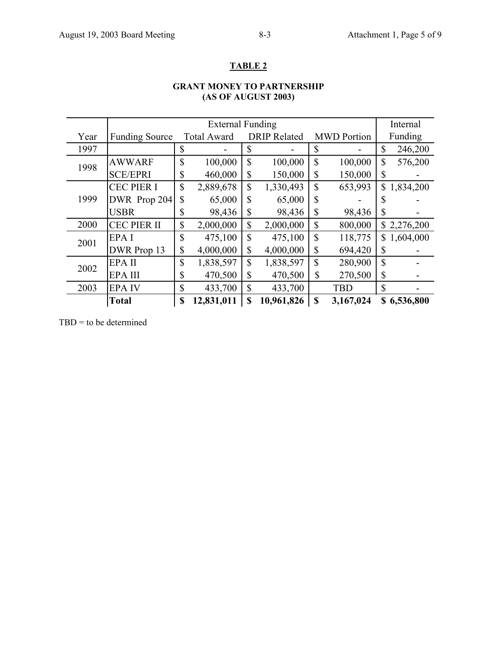# **GRANT MONEY TO PARTNERSHIP (AS OF AUGUST 2003)**

|      | <b>External Funding</b> |                    |            |                     |            |                    | Internal   |                |             |
|------|-------------------------|--------------------|------------|---------------------|------------|--------------------|------------|----------------|-------------|
| Year | <b>Funding Source</b>   | <b>Total Award</b> |            | <b>DRIP Related</b> |            | <b>MWD</b> Portion |            | Funding        |             |
| 1997 |                         | \$                 |            | S                   |            | \$                 |            | \$             | 246,200     |
| 1998 | <b>AWWARF</b>           | $\mathbf S$        | 100,000    | \$                  | 100,000    | \$                 | 100,000    | \$             | 576,200     |
|      | <b>SCE/EPRI</b>         | \$                 | 460,000    | \$                  | 150,000    | \$                 | 150,000    | \$             |             |
| 1999 | <b>CEC PIER I</b>       | $\mathcal{S}$      | 2,889,678  | \$                  | 1,330,493  | \$                 | 653,993    |                | \$1,834,200 |
|      | DWR Prop 204            | \$                 | 65,000     | \$                  | 65,000     | \$                 |            | \$             |             |
|      | <b>USBR</b>             | \$                 | 98,436     | \$                  | 98,436     | \$                 | 98,436     | \$             |             |
| 2000 | <b>CEC PIER II</b>      | \$                 | 2,000,000  | \$                  | 2,000,000  | \$                 | 800,000    |                | \$2,276,200 |
| 2001 | EPA I                   | $\mathcal{S}$      | 475,100    | \$                  | 475,100    | \$                 | 118,775    | $\mathbb{S}^-$ | 1,604,000   |
|      | DWR Prop 13             | \$                 | 4,000,000  | \$                  | 4,000,000  | \$                 | 694,420    | \$             |             |
| 2002 | EPA II                  | $\mathbf S$        | 1,838,597  | \$                  | 1,838,597  | $\mathbf S$        | 280,900    | $\mathcal{S}$  |             |
|      | <b>EPAIII</b>           | \$                 | 470,500    | \$                  | 470,500    | \$                 | 270,500    | \$             |             |
| 2003 | <b>EPAIV</b>            | \$                 | 433,700    | \$                  | 433,700    |                    | <b>TBD</b> | \$             |             |
|      | <b>Total</b>            | \$                 | 12,831,011 | \$                  | 10,961,826 | \$                 | 3,167,024  |                | \$6,536,800 |

 $TBD =$  to be determined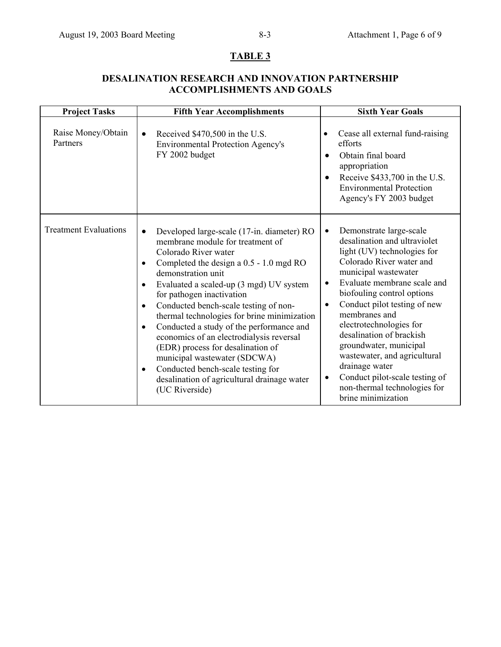# **DESALINATION RESEARCH AND INNOVATION PARTNERSHIP ACCOMPLISHMENTS AND GOALS**

| <b>Project Tasks</b>           | <b>Fifth Year Accomplishments</b>                                                                                                                                                                                                                                                                                                                                                                                                                                                                                                                                                                                                                                                        | <b>Sixth Year Goals</b>                                                                                                                                                                                                                                                                                                                                                                                                                                                                                                                 |  |  |
|--------------------------------|------------------------------------------------------------------------------------------------------------------------------------------------------------------------------------------------------------------------------------------------------------------------------------------------------------------------------------------------------------------------------------------------------------------------------------------------------------------------------------------------------------------------------------------------------------------------------------------------------------------------------------------------------------------------------------------|-----------------------------------------------------------------------------------------------------------------------------------------------------------------------------------------------------------------------------------------------------------------------------------------------------------------------------------------------------------------------------------------------------------------------------------------------------------------------------------------------------------------------------------------|--|--|
| Raise Money/Obtain<br>Partners | Received \$470,500 in the U.S.<br>$\bullet$<br><b>Environmental Protection Agency's</b><br>FY 2002 budget                                                                                                                                                                                                                                                                                                                                                                                                                                                                                                                                                                                | Cease all external fund-raising<br>$\bullet$<br>efforts<br>Obtain final board<br>$\bullet$<br>appropriation<br>Receive \$433,700 in the U.S.<br><b>Environmental Protection</b><br>Agency's FY 2003 budget                                                                                                                                                                                                                                                                                                                              |  |  |
| <b>Treatment Evaluations</b>   | Developed large-scale (17-in. diameter) RO<br>$\bullet$<br>membrane module for treatment of<br>Colorado River water<br>Completed the design a 0.5 - 1.0 mgd RO<br>$\bullet$<br>demonstration unit<br>Evaluated a scaled-up (3 mgd) UV system<br>$\bullet$<br>for pathogen inactivation<br>Conducted bench-scale testing of non-<br>$\bullet$<br>thermal technologies for brine minimization<br>Conducted a study of the performance and<br>$\bullet$<br>economics of an electrodialysis reversal<br>(EDR) process for desalination of<br>municipal wastewater (SDCWA)<br>Conducted bench-scale testing for<br>$\bullet$<br>desalination of agricultural drainage water<br>(UC Riverside) | Demonstrate large-scale<br>$\bullet$<br>desalination and ultraviolet<br>light (UV) technologies for<br>Colorado River water and<br>municipal wastewater<br>Evaluate membrane scale and<br>$\bullet$<br>biofouling control options<br>Conduct pilot testing of new<br>$\bullet$<br>membranes and<br>electrotechnologies for<br>desalination of brackish<br>groundwater, municipal<br>wastewater, and agricultural<br>drainage water<br>Conduct pilot-scale testing of<br>$\bullet$<br>non-thermal technologies for<br>brine minimization |  |  |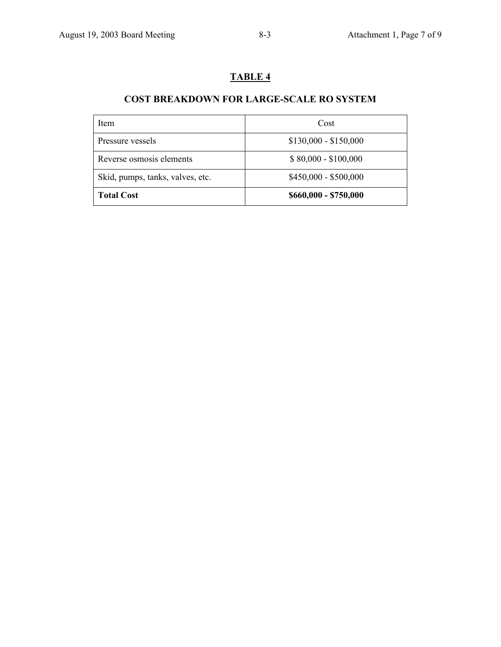# **COST BREAKDOWN FOR LARGE-SCALE RO SYSTEM**

| Item                             | Cost                  |  |  |
|----------------------------------|-----------------------|--|--|
| Pressure vessels                 | $$130,000 - $150,000$ |  |  |
| Reverse osmosis elements         | $$80,000 - $100,000$  |  |  |
| Skid, pumps, tanks, valves, etc. | $$450,000 - $500,000$ |  |  |
| <b>Total Cost</b>                | \$660,000 - \$750,000 |  |  |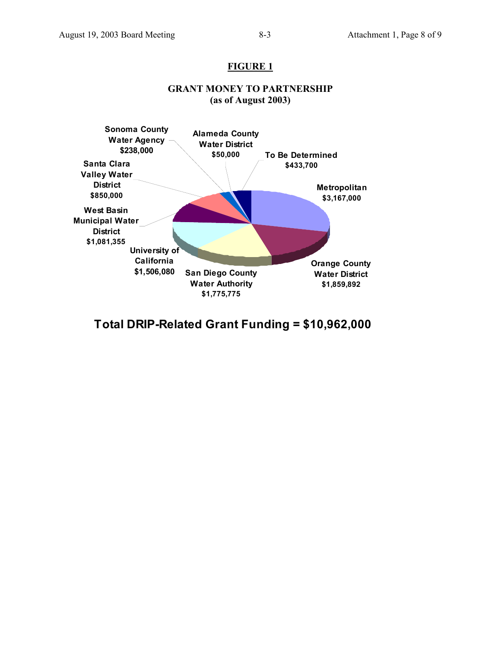## **FIGURE 1**



# **GRANT MONEY TO PARTNERSHIP (as of August 2003)**

**Total DRIP-Related Grant Funding = \$10,962,000**